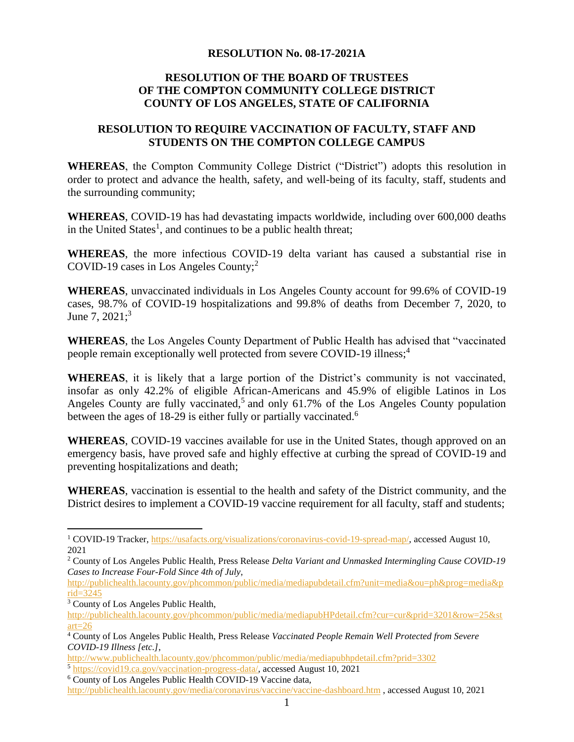## **RESOLUTION No. 08-17-2021A**

## **RESOLUTION OF THE BOARD OF TRUSTEES OF THE COMPTON COMMUNITY COLLEGE DISTRICT COUNTY OF LOS ANGELES, STATE OF CALIFORNIA**

## **RESOLUTION TO REQUIRE VACCINATION OF FACULTY, STAFF AND STUDENTS ON THE COMPTON COLLEGE CAMPUS**

**WHEREAS**, the Compton Community College District ("District") adopts this resolution in order to protect and advance the health, safety, and well-being of its faculty, staff, students and the surrounding community;

**WHEREAS**, COVID-19 has had devastating impacts worldwide, including over 600,000 deaths in the United States<sup>1</sup>, and continues to be a public health threat;

**WHEREAS**, the more infectious COVID-19 delta variant has caused a substantial rise in COVID-19 cases in Los Angeles County;<sup>2</sup>

**WHEREAS**, unvaccinated individuals in Los Angeles County account for 99.6% of COVID-19 cases, 98.7% of COVID-19 hospitalizations and 99.8% of deaths from December 7, 2020, to June 7, 2021;<sup>3</sup>

**WHEREAS**, the Los Angeles County Department of Public Health has advised that "vaccinated people remain exceptionally well protected from severe COVID-19 illness;<sup>4</sup>

**WHEREAS**, it is likely that a large portion of the District's community is not vaccinated, insofar as only 42.2% of eligible African-Americans and 45.9% of eligible Latinos in Los Angeles County are fully vaccinated,<sup>5</sup> and only  $61.7\%$  of the Los Angeles County population between the ages of 18-29 is either fully or partially vaccinated.<sup>6</sup>

**WHEREAS**, COVID-19 vaccines available for use in the United States, though approved on an emergency basis, have proved safe and highly effective at curbing the spread of COVID-19 and preventing hospitalizations and death;

**WHEREAS**, vaccination is essential to the health and safety of the District community, and the District desires to implement a COVID-19 vaccine requirement for all faculty, staff and students;

 $\overline{a}$ 

<sup>1</sup> COVID-19 Tracker, [https://usafacts.org/visualizations/coronavirus-covid-19-spread-map/,](https://usafacts.org/visualizations/coronavirus-covid-19-spread-map/) accessed August 10, 2021

<sup>2</sup> County of Los Angeles Public Health, Press Release *Delta Variant and Unmasked Intermingling Cause COVID-19 Cases to Increase Four-Fold Since 4th of July*,

[http://publichealth.lacounty.gov/phcommon/public/media/mediapubdetail.cfm?unit=media&ou=ph&prog=media&p](http://publichealth.lacounty.gov/phcommon/public/media/mediapubdetail.cfm?unit=media&ou=ph&prog=media&prid=3245) [rid=3245](http://publichealth.lacounty.gov/phcommon/public/media/mediapubdetail.cfm?unit=media&ou=ph&prog=media&prid=3245)

<sup>3</sup> County of Los Angeles Public Health,

[http://publichealth.lacounty.gov/phcommon/public/media/mediapubHPdetail.cfm?cur=cur&prid=3201&row=25&st](http://publichealth.lacounty.gov/phcommon/public/media/mediapubHPdetail.cfm?cur=cur&prid=3201&row=25&start=26)  $art = 26$ 

<sup>4</sup> County of Los Angeles Public Health, Press Release *Vaccinated People Remain Well Protected from Severe COVID-19 Illness [etc.]*,

<http://www.publichealth.lacounty.gov/phcommon/public/media/mediapubhpdetail.cfm?prid=3302>

<sup>5</sup> [https://covid19.ca.gov/vaccination-progress-data/,](https://covid19.ca.gov/vaccination-progress-data/) accessed August 10, 2021

<sup>6</sup> County of Los Angeles Public Health COVID-19 Vaccine data,

<http://publichealth.lacounty.gov/media/coronavirus/vaccine/vaccine-dashboard.htm> , accessed August 10, 2021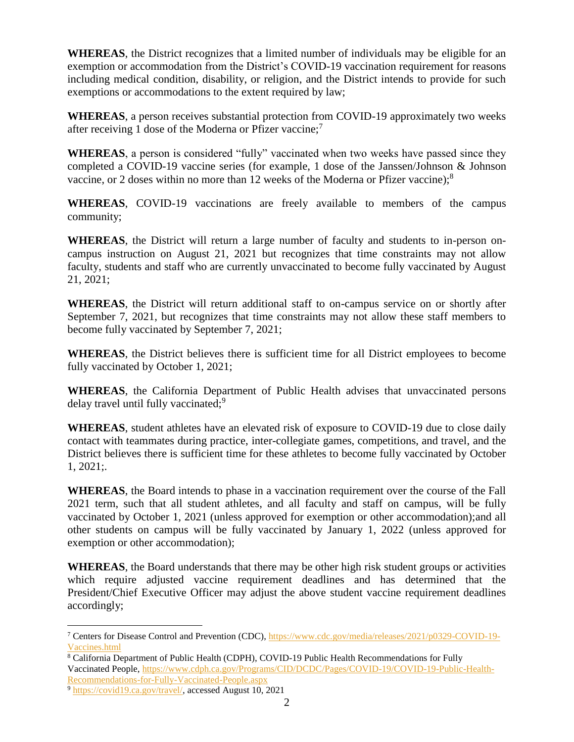**WHEREAS**, the District recognizes that a limited number of individuals may be eligible for an exemption or accommodation from the District's COVID-19 vaccination requirement for reasons including medical condition, disability, or religion, and the District intends to provide for such exemptions or accommodations to the extent required by law;

**WHEREAS**, a person receives substantial protection from COVID-19 approximately two weeks after receiving 1 dose of the Moderna or Pfizer vaccine;<sup>7</sup>

**WHEREAS**, a person is considered "fully" vaccinated when two weeks have passed since they completed a COVID-19 vaccine series (for example, 1 dose of the Janssen/Johnson & Johnson vaccine, or 2 doses within no more than 12 weeks of the Moderna or Pfizer vaccine);<sup>8</sup>

**WHEREAS**, COVID-19 vaccinations are freely available to members of the campus community;

**WHEREAS**, the District will return a large number of faculty and students to in-person oncampus instruction on August 21, 2021 but recognizes that time constraints may not allow faculty, students and staff who are currently unvaccinated to become fully vaccinated by August 21, 2021;

**WHEREAS**, the District will return additional staff to on-campus service on or shortly after September 7, 2021, but recognizes that time constraints may not allow these staff members to become fully vaccinated by September 7, 2021;

**WHEREAS**, the District believes there is sufficient time for all District employees to become fully vaccinated by October 1, 2021;

**WHEREAS**, the California Department of Public Health advises that unvaccinated persons delay travel until fully vaccinated; $9$ 

**WHEREAS**, student athletes have an elevated risk of exposure to COVID-19 due to close daily contact with teammates during practice, inter-collegiate games, competitions, and travel, and the District believes there is sufficient time for these athletes to become fully vaccinated by October 1, 2021;.

**WHEREAS**, the Board intends to phase in a vaccination requirement over the course of the Fall 2021 term, such that all student athletes, and all faculty and staff on campus, will be fully vaccinated by October 1, 2021 (unless approved for exemption or other accommodation);and all other students on campus will be fully vaccinated by January 1, 2022 (unless approved for exemption or other accommodation);

**WHEREAS**, the Board understands that there may be other high risk student groups or activities which require adjusted vaccine requirement deadlines and has determined that the President/Chief Executive Officer may adjust the above student vaccine requirement deadlines accordingly;

<sup>8</sup> California Department of Public Health (CDPH), COVID-19 Public Health Recommendations for Fully Vaccinated People[, https://www.cdph.ca.gov/Programs/CID/DCDC/Pages/COVID-19/COVID-19-Public-Health-](https://www.cdph.ca.gov/Programs/CID/DCDC/Pages/COVID-19/COVID-19-Public-Health-Recommendations-for-Fully-Vaccinated-People.aspx)[Recommendations-for-Fully-Vaccinated-People.aspx](https://www.cdph.ca.gov/Programs/CID/DCDC/Pages/COVID-19/COVID-19-Public-Health-Recommendations-for-Fully-Vaccinated-People.aspx)

 $\overline{a}$ 

<sup>7</sup> Centers for Disease Control and Prevention (CDC)[, https://www.cdc.gov/media/releases/2021/p0329-COVID-19-](https://www.cdc.gov/media/releases/2021/p0329-COVID-19-Vaccines.html) [Vaccines.html](https://www.cdc.gov/media/releases/2021/p0329-COVID-19-Vaccines.html)

<sup>&</sup>lt;sup>9</sup> [https://covid19.ca.gov/travel/,](https://covid19.ca.gov/travel/) accessed August 10, 2021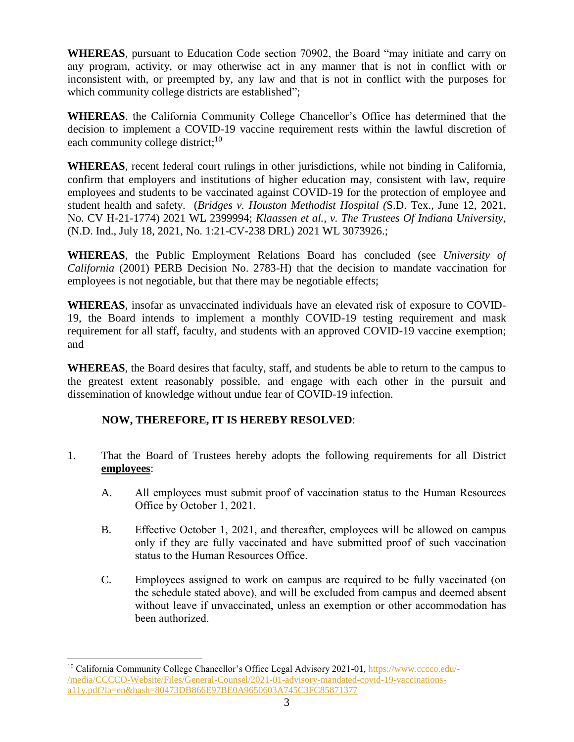**WHEREAS**, pursuant to Education Code section 70902, the Board "may initiate and carry on any program, activity, or may otherwise act in any manner that is not in conflict with or inconsistent with, or preempted by, any law and that is not in conflict with the purposes for which community college districts are established";

**WHEREAS**, the California Community College Chancellor's Office has determined that the decision to implement a COVID-19 vaccine requirement rests within the lawful discretion of each community college district; $10<sup>10</sup>$ 

**WHEREAS**, recent federal court rulings in other jurisdictions, while not binding in California, confirm that employers and institutions of higher education may, consistent with law, require employees and students to be vaccinated against COVID-19 for the protection of employee and student health and safety. (*Bridges v. Houston Methodist Hospital (*S.D. Tex., June 12, 2021, No. CV H-21-1774) 2021 WL 2399994; *Klaassen et al., v. The Trustees Of Indiana University,*  (N.D. Ind., July 18, 2021, No. 1:21-CV-238 DRL) 2021 WL 3073926.;

**WHEREAS**, the Public Employment Relations Board has concluded (see *University of California* (2001) PERB Decision No. 2783-H) that the decision to mandate vaccination for employees is not negotiable, but that there may be negotiable effects;

**WHEREAS**, insofar as unvaccinated individuals have an elevated risk of exposure to COVID-19, the Board intends to implement a monthly COVID-19 testing requirement and mask requirement for all staff, faculty, and students with an approved COVID-19 vaccine exemption; and

**WHEREAS**, the Board desires that faculty, staff, and students be able to return to the campus to the greatest extent reasonably possible, and engage with each other in the pursuit and dissemination of knowledge without undue fear of COVID-19 infection.

## **NOW, THEREFORE, IT IS HEREBY RESOLVED**:

- 1. That the Board of Trustees hereby adopts the following requirements for all District **employees**:
	- A. All employees must submit proof of vaccination status to the Human Resources Office by October 1, 2021.
	- B. Effective October 1, 2021, and thereafter, employees will be allowed on campus only if they are fully vaccinated and have submitted proof of such vaccination status to the Human Resources Office.
	- C. Employees assigned to work on campus are required to be fully vaccinated (on the schedule stated above), and will be excluded from campus and deemed absent without leave if unvaccinated, unless an exemption or other accommodation has been authorized.

 $\overline{a}$ 

<sup>&</sup>lt;sup>10</sup> California Community College Chancellor's Office Legal Advisory 2021-01, [https://www.cccco.edu/-](https://www.cccco.edu/-/media/CCCCO-Website/Files/General-Counsel/2021-01-advisory-mandated-covid-19-vaccinations-a11y.pdf?la=en&hash=80473DB866E97BE0A9650603A745C3FC85871377) [/media/CCCCO-Website/Files/General-Counsel/2021-01-advisory-mandated-covid-19-vaccinations](https://www.cccco.edu/-/media/CCCCO-Website/Files/General-Counsel/2021-01-advisory-mandated-covid-19-vaccinations-a11y.pdf?la=en&hash=80473DB866E97BE0A9650603A745C3FC85871377)[a11y.pdf?la=en&hash=80473DB866E97BE0A9650603A745C3FC85871377](https://www.cccco.edu/-/media/CCCCO-Website/Files/General-Counsel/2021-01-advisory-mandated-covid-19-vaccinations-a11y.pdf?la=en&hash=80473DB866E97BE0A9650603A745C3FC85871377)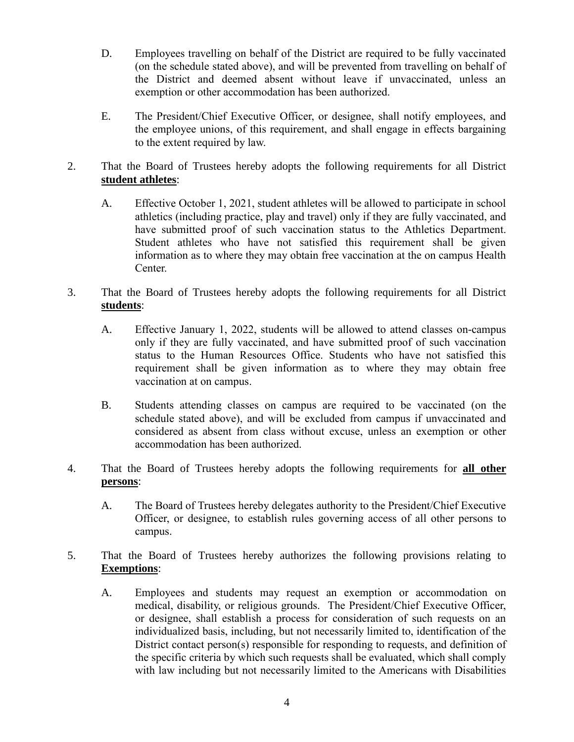- D. Employees travelling on behalf of the District are required to be fully vaccinated (on the schedule stated above), and will be prevented from travelling on behalf of the District and deemed absent without leave if unvaccinated, unless an exemption or other accommodation has been authorized.
- E. The President/Chief Executive Officer, or designee, shall notify employees, and the employee unions, of this requirement, and shall engage in effects bargaining to the extent required by law.
- 2. That the Board of Trustees hereby adopts the following requirements for all District **student athletes**:
	- A. Effective October 1, 2021, student athletes will be allowed to participate in school athletics (including practice, play and travel) only if they are fully vaccinated, and have submitted proof of such vaccination status to the Athletics Department. Student athletes who have not satisfied this requirement shall be given information as to where they may obtain free vaccination at the on campus Health Center.
- 3. That the Board of Trustees hereby adopts the following requirements for all District **students**:
	- A. Effective January 1, 2022, students will be allowed to attend classes on-campus only if they are fully vaccinated, and have submitted proof of such vaccination status to the Human Resources Office. Students who have not satisfied this requirement shall be given information as to where they may obtain free vaccination at on campus.
	- B. Students attending classes on campus are required to be vaccinated (on the schedule stated above), and will be excluded from campus if unvaccinated and considered as absent from class without excuse, unless an exemption or other accommodation has been authorized.
- 4. That the Board of Trustees hereby adopts the following requirements for **all other persons**:
	- A. The Board of Trustees hereby delegates authority to the President/Chief Executive Officer, or designee, to establish rules governing access of all other persons to campus.
- 5. That the Board of Trustees hereby authorizes the following provisions relating to **Exemptions**:
	- A. Employees and students may request an exemption or accommodation on medical, disability, or religious grounds. The President/Chief Executive Officer, or designee, shall establish a process for consideration of such requests on an individualized basis, including, but not necessarily limited to, identification of the District contact person(s) responsible for responding to requests, and definition of the specific criteria by which such requests shall be evaluated, which shall comply with law including but not necessarily limited to the Americans with Disabilities